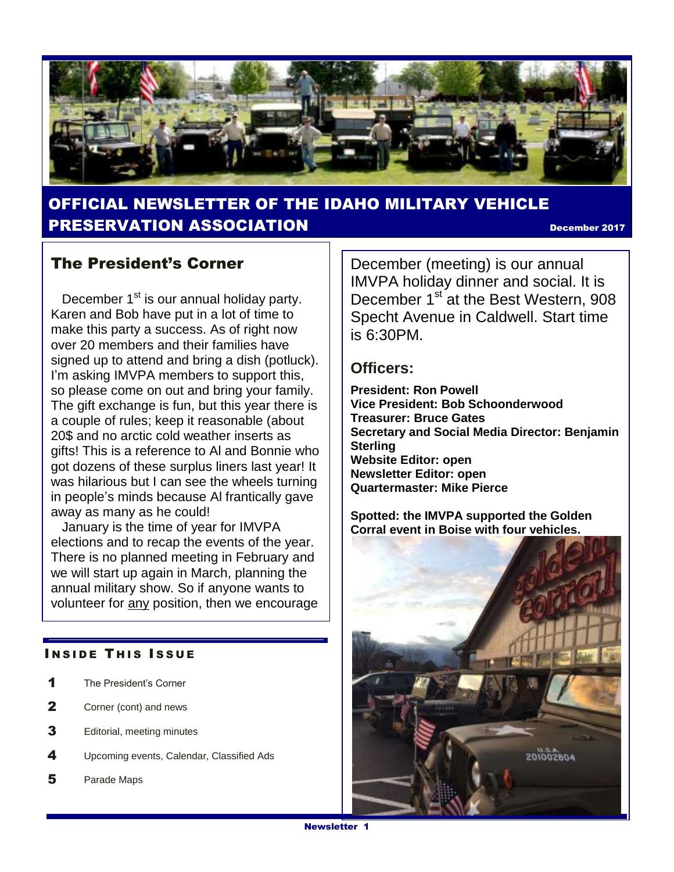

### OFFICIAL NEWSLETTER OF THE IDAHO MILITARY VEHICLE PRESERVATION ASSOCIATION December <sup>2017</sup>

#### The President's Corner

December  $1<sup>st</sup>$  is our annual holiday party. Karen and Bob have put in a lot of time to make this party a success. As of right now over 20 members and their families have signed up to attend and bring a dish (potluck). I'm asking IMVPA members to support this, so please come on out and bring your family. The gift exchange is fun, but this year there is a couple of rules; keep it reasonable (about 20\$ and no arctic cold weather inserts as gifts! This is a reference to Al and Bonnie who got dozens of these surplus liners last year! It was hilarious but I can see the wheels turning in people's minds because Al frantically gave away as many as he could!

 January is the time of year for IMVPA elections and to recap the events of the year. There is no planned meeting in February and we will start up again in March, planning the annual military show. So if anyone wants to volunteer for any position, then we encourage

#### **INSIDE THIS ISSUE**

- 1 The President's Corner
- 2 Corner (cont) and news
- **3** Editorial, meeting minutes
- 4 Upcoming events, Calendar, Classified Ads
- 5 Parade Maps

December (meeting) is our annual IMVPA holiday dinner and social. It is December 1<sup>st</sup> at the Best Western, 908 Specht Avenue in Caldwell. Start time is 6:30PM.

#### **Officers:**

**President: Ron Powell Vice President: Bob Schoonderwood Treasurer: Bruce Gates Secretary and Social Media Director: Benjamin Sterling Website Editor: open Newsletter Editor: open Quartermaster: Mike Pierce**

**Spotted: the IMVPA supported the Golden Corral event in Boise with four vehicles.**

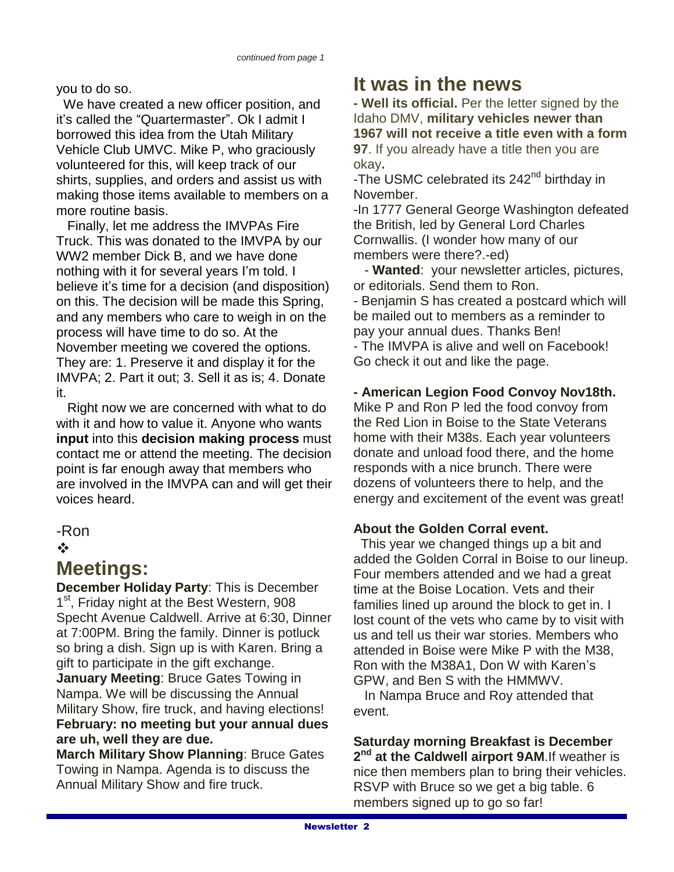you to do so.

 We have created a new officer position, and it's called the "Quartermaster". Ok I admit I borrowed this idea from the Utah Military Vehicle Club UMVC. Mike P, who graciously volunteered for this, will keep track of our shirts, supplies, and orders and assist us with making those items available to members on a more routine basis.

 Finally, let me address the IMVPAs Fire Truck. This was donated to the IMVPA by our WW2 member Dick B, and we have done nothing with it for several years I'm told. I believe it's time for a decision (and disposition) on this. The decision will be made this Spring, and any members who care to weigh in on the process will have time to do so. At the November meeting we covered the options. They are: 1. Preserve it and display it for the IMVPA; 2. Part it out; 3. Sell it as is; 4. Donate it.

 Right now we are concerned with what to do with it and how to value it. Anyone who wants **input** into this **decision making process** must contact me or attend the meeting. The decision point is far enough away that members who are involved in the IMVPA can and will get their voices heard.

### -Ron

#### $\frac{1}{2}$

### **Meetings:**

**December Holiday Party**: This is December 1<sup>st</sup>, Friday night at the Best Western, 908 Specht Avenue Caldwell. Arrive at 6:30, Dinner at 7:00PM. Bring the family. Dinner is potluck so bring a dish. Sign up is with Karen. Bring a gift to participate in the gift exchange.

**January Meeting**: Bruce Gates Towing in Nampa. We will be discussing the Annual Military Show, fire truck, and having elections! **February: no meeting but your annual dues are uh, well they are due.**

**March Military Show Planning**: Bruce Gates Towing in Nampa. Agenda is to discuss the Annual Military Show and fire truck.

# **It was in the news**

**- Well its official.** Per the letter signed by the Idaho DMV, **military vehicles newer than 1967 will not receive a title even with a form 97**. If you already have a title then you are okay**.** 

-The USMC celebrated its 242<sup>nd</sup> birthday in November.

-In 1777 General George Washington defeated the British, led by General Lord Charles Cornwallis. (I wonder how many of our members were there?.-ed)

 - **Wanted**: your newsletter articles, pictures, or editorials. Send them to Ron.

- Benjamin S has created a postcard which will be mailed out to members as a reminder to pay your annual dues. Thanks Ben! - The IMVPA is alive and well on Facebook! Go check it out and like the page.

#### **- American Legion Food Convoy Nov18th.**

Mike P and Ron P led the food convoy from the Red Lion in Boise to the State Veterans home with their M38s. Each year volunteers donate and unload food there, and the home responds with a nice brunch. There were dozens of volunteers there to help, and the energy and excitement of the event was great!

#### **About the Golden Corral event.**

 This year we changed things up a bit and added the Golden Corral in Boise to our lineup. Four members attended and we had a great time at the Boise Location. Vets and their families lined up around the block to get in. I lost count of the vets who came by to visit with us and tell us their war stories. Members who attended in Boise were Mike P with the M38, Ron with the M38A1, Don W with Karen's GPW, and Ben S with the HMMWV.

 In Nampa Bruce and Roy attended that event.

**Saturday morning Breakfast is December 2 nd at the Caldwell airport 9AM**.If weather is nice then members plan to bring their vehicles. RSVP with Bruce so we get a big table. 6 members signed up to go so far!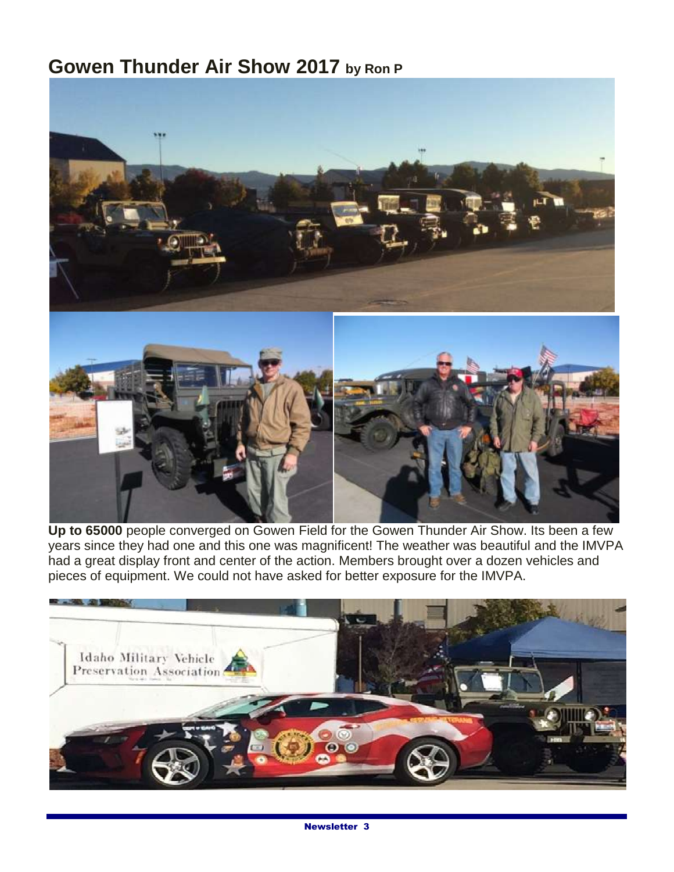# **Gowen Thunder Air Show 2017 by Ron P**



**Up to 65000** people converged on Gowen Field for the Gowen Thunder Air Show. Its been a few years since they had one and this one was magnificent! The weather was beautiful and the IMVPA had a great display front and center of the action. Members brought over a dozen vehicles and pieces of equipment. We could not have asked for better exposure for the IMVPA.

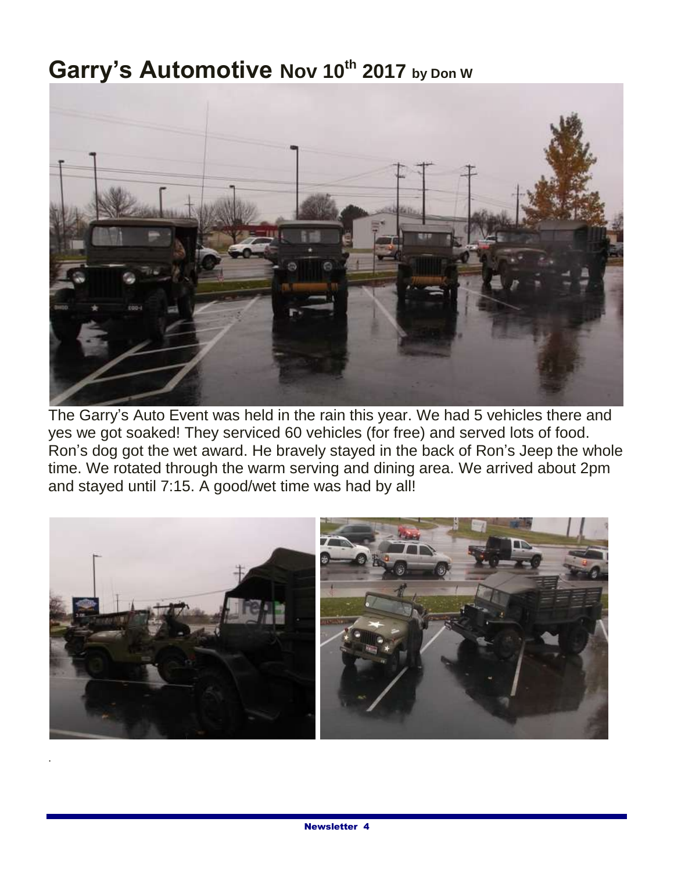# **Garry's Automotive Nov 10th 2017 by Don W**



The Garry's Auto Event was held in the rain this year. We had 5 vehicles there and yes we got soaked! They serviced 60 vehicles (for free) and served lots of food. Ron's dog got the wet award. He bravely stayed in the back of Ron's Jeep the whole time. We rotated through the warm serving and dining area. We arrived about 2pm and stayed until 7:15. A good/wet time was had by all!



.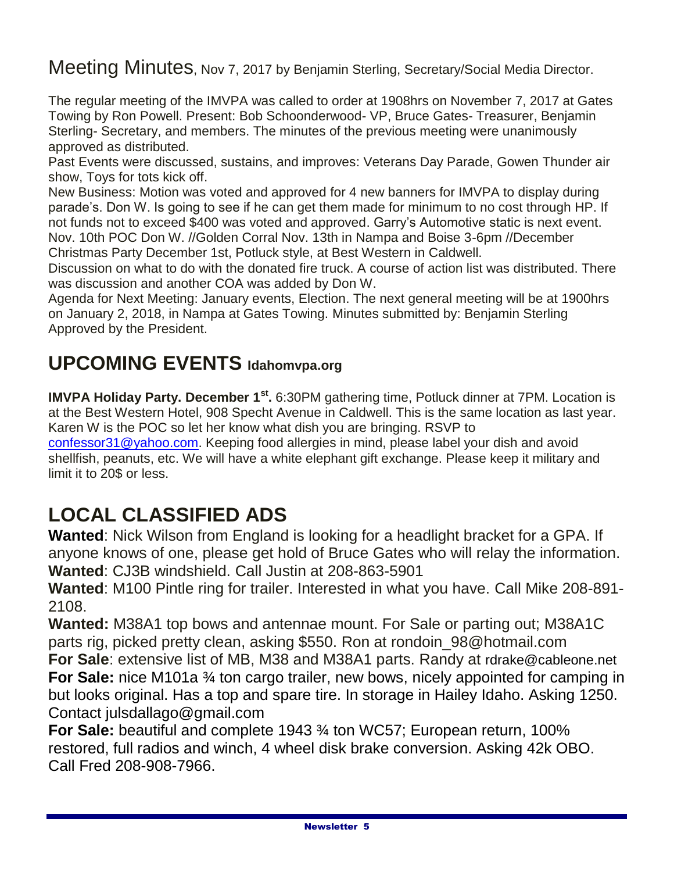Meeting Minutes, Nov 7, 2017 by Benjamin Sterling, Secretary/Social Media Director.

The regular meeting of the IMVPA was called to order at 1908hrs on November 7, 2017 at Gates Towing by Ron Powell. Present: Bob Schoonderwood- VP, Bruce Gates- Treasurer, Benjamin Sterling- Secretary, and members. The minutes of the previous meeting were unanimously approved as distributed.

Past Events were discussed, sustains, and improves: Veterans Day Parade, Gowen Thunder air show, Toys for tots kick off.

New Business: Motion was voted and approved for 4 new banners for IMVPA to display during parade's. Don W. Is going to see if he can get them made for minimum to no cost through HP. If not funds not to exceed \$400 was voted and approved. Garry's Automotive static is next event. Nov. 10th POC Don W. //Golden Corral Nov. 13th in Nampa and Boise 3-6pm //December Christmas Party December 1st, Potluck style, at Best Western in Caldwell.

Discussion on what to do with the donated fire truck. A course of action list was distributed. There was discussion and another COA was added by Don W.

Agenda for Next Meeting: January events, Election. The next general meeting will be at 1900hrs on January 2, 2018, in Nampa at Gates Towing. Minutes submitted by: Benjamin Sterling Approved by the President.

# **UPCOMING EVENTS Idahomvpa.org**

**IMVPA Holiday Party. December 1st .** 6:30PM gathering time, Potluck dinner at 7PM. Location is at the Best Western Hotel, 908 Specht Avenue in Caldwell. This is the same location as last year. Karen W is the POC so let her know what dish you are bringing. RSVP to [confessor31@yahoo.com.](mailto:confessor31@yahoo.com) Keeping food allergies in mind, please label your dish and avoid shellfish, peanuts, etc. We will have a white elephant gift exchange. Please keep it military and limit it to 20\$ or less.

# **LOCAL CLASSIFIED ADS**

**Wanted**: Nick Wilson from England is looking for a headlight bracket for a GPA. If anyone knows of one, please get hold of Bruce Gates who will relay the information. **Wanted**: CJ3B windshield. Call Justin at 208-863-5901

**Wanted**: M100 Pintle ring for trailer. Interested in what you have. Call Mike 208-891- 2108.

**Wanted:** M38A1 top bows and antennae mount. For Sale or parting out; M38A1C parts rig, picked pretty clean, asking \$550. Ron at rondoin\_98@hotmail.com **For Sale**: extensive list of MB, M38 and M38A1 parts. Randy at rdrake@cableone.net **For Sale:** nice M101a <sup>3</sup>/<sub>4</sub> ton cargo trailer, new bows, nicely appointed for camping in but looks original. Has a top and spare tire. In storage in Hailey Idaho. Asking 1250. Contact julsdallago@gmail.com

**For Sale:** beautiful and complete 1943 ¾ ton WC57; European return, 100% restored, full radios and winch, 4 wheel disk brake conversion. Asking 42k OBO. Call Fred 208-908-7966.